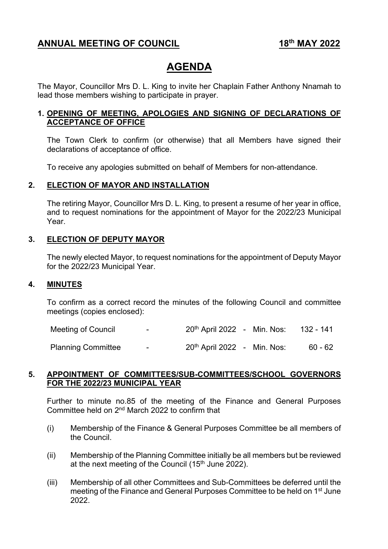# **ANNUAL MEETING OF COUNCIL** 18<sup>th</sup> MAY 2022

# **AGENDA**

The Mayor, Councillor Mrs D. L. King to invite her Chaplain Father Anthony Nnamah to lead those members wishing to participate in prayer.

#### **1. OPENING OF MEETING, APOLOGIES AND SIGNING OF DECLARATIONS OF ACCEPTANCE OF OFFICE**

The Town Clerk to confirm (or otherwise) that all Members have signed their declarations of acceptance of office.

To receive any apologies submitted on behalf of Members for non-attendance.

#### **2. ELECTION OF MAYOR AND INSTALLATION**

The retiring Mayor, Councillor Mrs D. L. King, to present a resume of her year in office, and to request nominations for the appointment of Mayor for the 2022/23 Municipal Year.

#### **3. ELECTION OF DEPUTY MAYOR**

The newly elected Mayor, to request nominations for the appointment of Deputy Mayor for the 2022/23 Municipal Year.

#### **4. MINUTES**

To confirm as a correct record the minutes of the following Council and committee meetings (copies enclosed):

Meeting of Council - 20<sup>th</sup> April 2022 - Min. Nos: 132 - 141

Planning Committee - 20<sup>th</sup> April 2022 - Min. Nos: 60 - 62

#### **5. APPOINTMENT OF COMMITTEES/SUB-COMMITTEES/SCHOOL GOVERNORS FOR THE 2022/23 MUNICIPAL YEAR**

Further to minute no.85 of the meeting of the Finance and General Purposes Committee held on 2nd March 2022 to confirm that

- (i) Membership of the Finance & General Purposes Committee be all members of the Council.
- (ii) Membership of the Planning Committee initially be all members but be reviewed at the next meeting of the Council (15<sup>th</sup> June 2022).
- (iii) Membership of all other Committees and Sub-Committees be deferred until the meeting of the Finance and General Purposes Committee to be held on 1st June 2022.